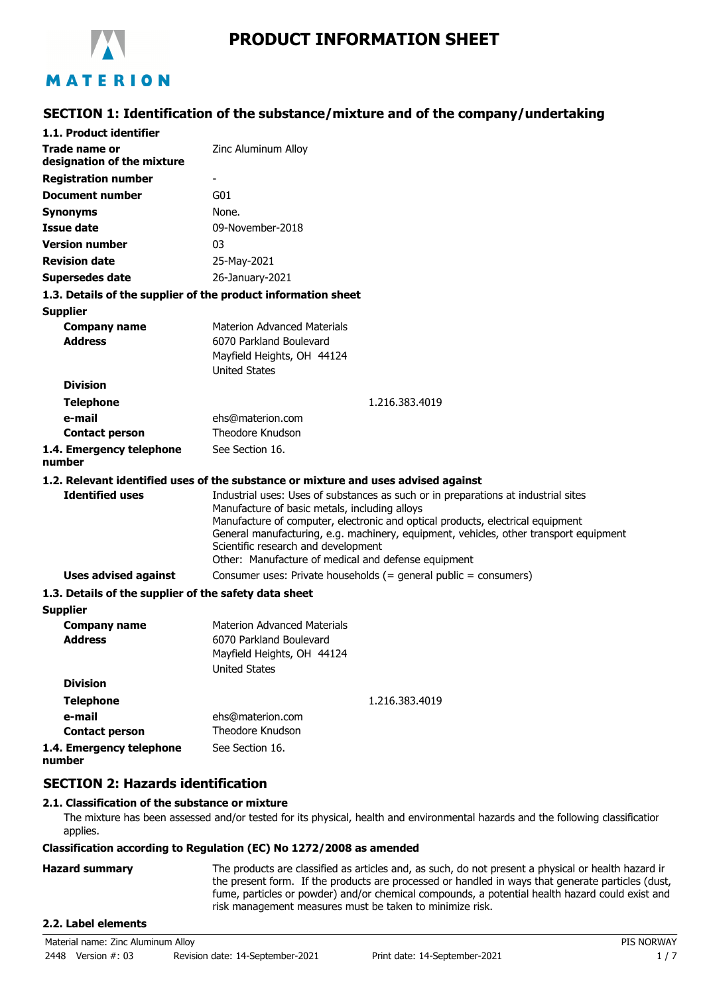

# **SECTION 1: Identification of the substance/mixture and of the company/undertaking**

| 1.1. Product identifier                               |                                                                                                                                                                                                                                                                                                                                                                                                              |  |  |
|-------------------------------------------------------|--------------------------------------------------------------------------------------------------------------------------------------------------------------------------------------------------------------------------------------------------------------------------------------------------------------------------------------------------------------------------------------------------------------|--|--|
| Trade name or<br>designation of the mixture           | Zinc Aluminum Alloy                                                                                                                                                                                                                                                                                                                                                                                          |  |  |
| <b>Registration number</b>                            |                                                                                                                                                                                                                                                                                                                                                                                                              |  |  |
| <b>Document number</b>                                | G01                                                                                                                                                                                                                                                                                                                                                                                                          |  |  |
| <b>Synonyms</b>                                       | None.                                                                                                                                                                                                                                                                                                                                                                                                        |  |  |
| <b>Issue date</b>                                     | 09-November-2018                                                                                                                                                                                                                                                                                                                                                                                             |  |  |
| <b>Version number</b>                                 | 03                                                                                                                                                                                                                                                                                                                                                                                                           |  |  |
| <b>Revision date</b>                                  | 25-May-2021                                                                                                                                                                                                                                                                                                                                                                                                  |  |  |
| <b>Supersedes date</b>                                | 26-January-2021                                                                                                                                                                                                                                                                                                                                                                                              |  |  |
|                                                       | 1.3. Details of the supplier of the product information sheet                                                                                                                                                                                                                                                                                                                                                |  |  |
| <b>Supplier</b>                                       |                                                                                                                                                                                                                                                                                                                                                                                                              |  |  |
| <b>Company name</b><br><b>Address</b>                 | <b>Materion Advanced Materials</b><br>6070 Parkland Boulevard<br>Mayfield Heights, OH 44124                                                                                                                                                                                                                                                                                                                  |  |  |
| <b>Division</b>                                       | <b>United States</b>                                                                                                                                                                                                                                                                                                                                                                                         |  |  |
| <b>Telephone</b>                                      | 1.216.383.4019                                                                                                                                                                                                                                                                                                                                                                                               |  |  |
| e-mail<br><b>Contact person</b>                       | ehs@materion.com<br>Theodore Knudson                                                                                                                                                                                                                                                                                                                                                                         |  |  |
| 1.4. Emergency telephone<br>number                    | See Section 16.                                                                                                                                                                                                                                                                                                                                                                                              |  |  |
|                                                       | 1.2. Relevant identified uses of the substance or mixture and uses advised against                                                                                                                                                                                                                                                                                                                           |  |  |
| <b>Identified uses</b>                                | Industrial uses: Uses of substances as such or in preparations at industrial sites<br>Manufacture of basic metals, including alloys<br>Manufacture of computer, electronic and optical products, electrical equipment<br>General manufacturing, e.g. machinery, equipment, vehicles, other transport equipment<br>Scientific research and development<br>Other: Manufacture of medical and defense equipment |  |  |
| <b>Uses advised against</b>                           | Consumer uses: Private households (= general public = consumers)                                                                                                                                                                                                                                                                                                                                             |  |  |
| 1.3. Details of the supplier of the safety data sheet |                                                                                                                                                                                                                                                                                                                                                                                                              |  |  |
| <b>Supplier</b>                                       |                                                                                                                                                                                                                                                                                                                                                                                                              |  |  |
| <b>Company name</b>                                   | <b>Materion Advanced Materials</b>                                                                                                                                                                                                                                                                                                                                                                           |  |  |
| <b>Address</b>                                        | 6070 Parkland Boulevard<br>Mayfield Heights, OH 44124<br><b>United States</b>                                                                                                                                                                                                                                                                                                                                |  |  |
| <b>Division</b>                                       |                                                                                                                                                                                                                                                                                                                                                                                                              |  |  |
| <b>Telephone</b>                                      | 1.216.383.4019                                                                                                                                                                                                                                                                                                                                                                                               |  |  |
| e-mail                                                | ehs@materion.com                                                                                                                                                                                                                                                                                                                                                                                             |  |  |
| <b>Contact person</b>                                 | Theodore Knudson                                                                                                                                                                                                                                                                                                                                                                                             |  |  |
| 1.4. Emergency telephone                              | See Section 16.                                                                                                                                                                                                                                                                                                                                                                                              |  |  |

# **SECTION 2: Hazards identification**

# **2.1. Classification of the substance or mixture**

The mixture has been assessed and/or tested for its physical, health and environmental hazards and the following classification applies.

# **Classification according to Regulation (EC) No 1272/2008 as amended**

## **Hazard summary** The products are classified as articles and, as such, do not present a physical or health hazard in the present form. If the products are processed or handled in ways that generate particles (dust, fume, particles or powder) and/or chemical compounds, a potential health hazard could exist and risk management measures must be taken to minimize risk.

# **2.2. Label elements**

**number**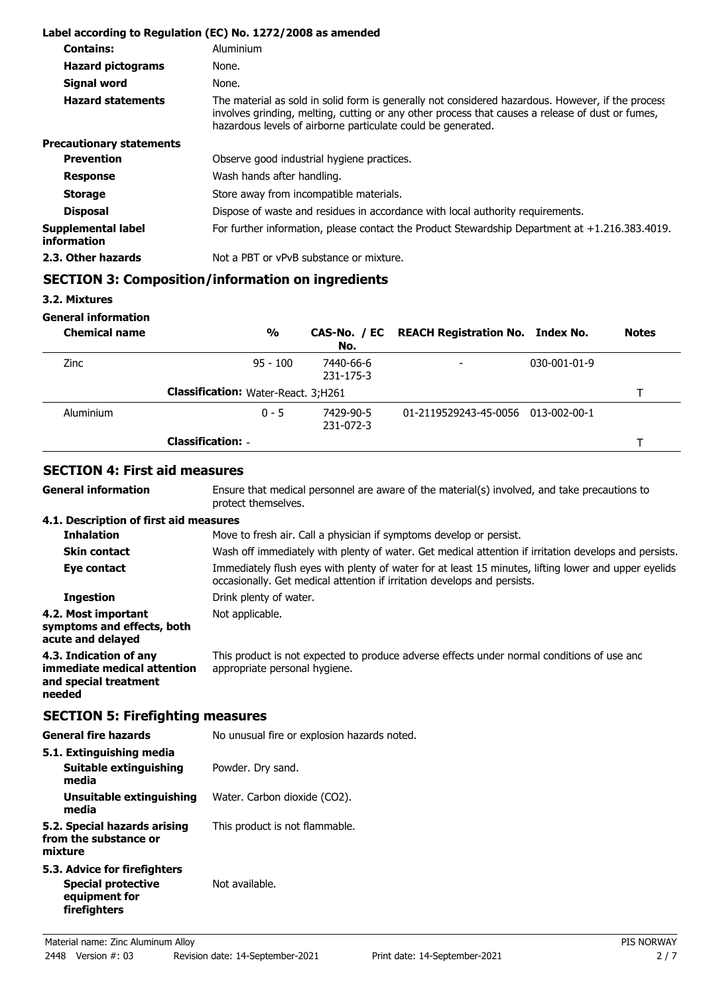|                                   | Label according to Regulation (EC) No. 1272/2008 as amended                                                                                                                                                                                                           |
|-----------------------------------|-----------------------------------------------------------------------------------------------------------------------------------------------------------------------------------------------------------------------------------------------------------------------|
| <b>Contains:</b>                  | Aluminium                                                                                                                                                                                                                                                             |
| <b>Hazard pictograms</b>          | None.                                                                                                                                                                                                                                                                 |
| Signal word                       | None.                                                                                                                                                                                                                                                                 |
| <b>Hazard statements</b>          | The material as sold in solid form is generally not considered hazardous. However, if the process<br>involves grinding, melting, cutting or any other process that causes a release of dust or fumes,<br>hazardous levels of airborne particulate could be generated. |
| <b>Precautionary statements</b>   |                                                                                                                                                                                                                                                                       |
| <b>Prevention</b>                 | Observe good industrial hygiene practices.                                                                                                                                                                                                                            |
| <b>Response</b>                   | Wash hands after handling.                                                                                                                                                                                                                                            |
| <b>Storage</b>                    | Store away from incompatible materials.                                                                                                                                                                                                                               |
| <b>Disposal</b>                   | Dispose of waste and residues in accordance with local authority requirements.                                                                                                                                                                                        |
| Supplemental label<br>information | For further information, please contact the Product Stewardship Department at $+1.216.383.4019$ .                                                                                                                                                                     |
| 2.3. Other hazards                | Not a PBT or vPvB substance or mixture.                                                                                                                                                                                                                               |

# **SECTION 3: Composition/information on ingredients**

**3.2. Mixtures**

**General information**

**General information**

| <b>Chemical name</b> |                                            | $\frac{0}{0}$ | No.                    | CAS-No. / EC REACH Registration No. Index No. |                      | <b>Notes</b> |
|----------------------|--------------------------------------------|---------------|------------------------|-----------------------------------------------|----------------------|--------------|
| <b>Zinc</b>          |                                            | $95 - 100$    | 7440-66-6<br>231-175-3 | $\overline{\phantom{a}}$                      | $030 - 001 - 01 - 9$ |              |
|                      | <b>Classification: Water-React. 3;H261</b> |               |                        |                                               |                      |              |
| Aluminium            |                                            | $0 - 5$       | 7429-90-5<br>231-072-3 | 01-2119529243-45-0056 013-002-00-1            |                      |              |
|                      | <b>Classification: -</b>                   |               |                        |                                               |                      |              |

# **SECTION 4: First aid measures**

Ensure that medical personnel are aware of the material(s) involved, and take precautions to protect themselves.

# **4.1. Description of first aid measures**

| <b>Inhalation</b>                                                                        | Move to fresh air. Call a physician if symptoms develop or persist.                                                                                                              |
|------------------------------------------------------------------------------------------|----------------------------------------------------------------------------------------------------------------------------------------------------------------------------------|
| <b>Skin contact</b>                                                                      | Wash off immediately with plenty of water. Get medical attention if irritation develops and persists.                                                                            |
| Eye contact                                                                              | Immediately flush eyes with plenty of water for at least 15 minutes, lifting lower and upper eyelids<br>occasionally. Get medical attention if irritation develops and persists. |
| <b>Ingestion</b>                                                                         | Drink plenty of water.                                                                                                                                                           |
| 4.2. Most important<br>symptoms and effects, both<br>acute and delayed                   | Not applicable.                                                                                                                                                                  |
| 4.3. Indication of any<br>immediate medical attention<br>and special treatment<br>needed | This product is not expected to produce adverse effects under normal conditions of use and<br>appropriate personal hygiene.                                                      |

# **SECTION 5: Firefighting measures**

| <b>General fire hazards</b>                                                                | No unusual fire or explosion hazards noted. |  |
|--------------------------------------------------------------------------------------------|---------------------------------------------|--|
| 5.1. Extinguishing media                                                                   |                                             |  |
| Suitable extinguishing<br>media                                                            | Powder. Dry sand.                           |  |
| Unsuitable extinguishing<br>media                                                          | Water. Carbon dioxide (CO2).                |  |
| 5.2. Special hazards arising<br>from the substance or<br>mixture                           | This product is not flammable.              |  |
| 5.3. Advice for firefighters<br><b>Special protective</b><br>equipment for<br>firefighters | Not available.                              |  |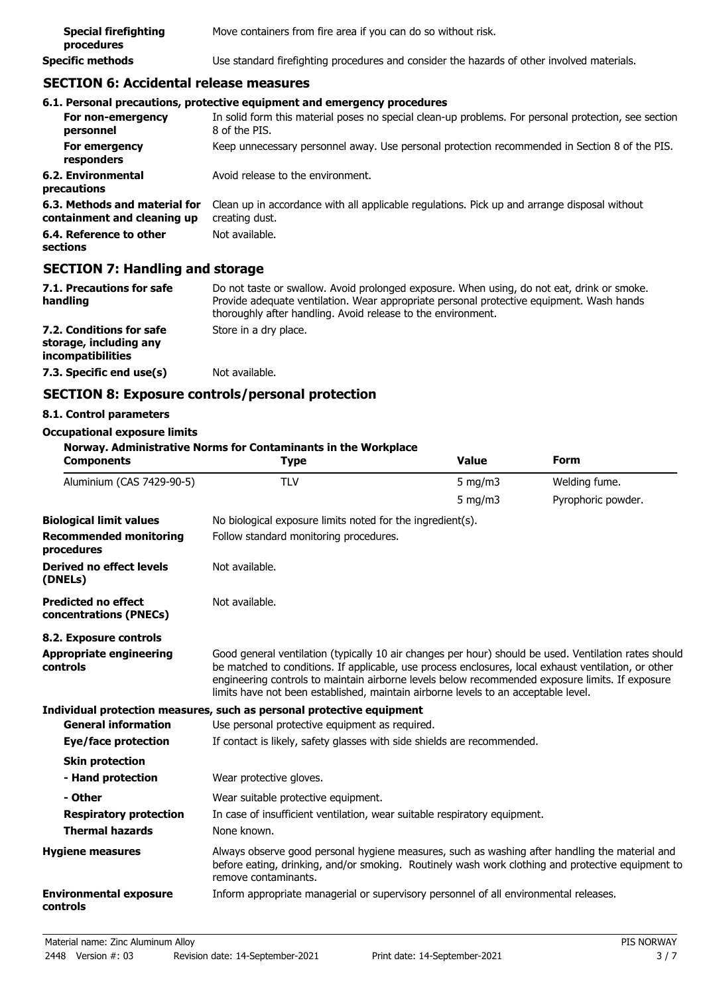| <b>Special firefighting</b><br>procedures | Move containers from fire area if you can do so without risk.                              |
|-------------------------------------------|--------------------------------------------------------------------------------------------|
| <b>Specific methods</b>                   | Use standard firefighting procedures and consider the hazards of other involved materials. |

# **SECTION 6: Accidental release measures**

|                                                              | 6.1. Personal precautions, protective equipment and emergency procedures                                              |
|--------------------------------------------------------------|-----------------------------------------------------------------------------------------------------------------------|
| For non-emergency<br>personnel                               | In solid form this material poses no special clean-up problems. For personal protection, see section<br>8 of the PIS. |
| For emergency<br>responders                                  | Keep unnecessary personnel away. Use personal protection recommended in Section 8 of the PIS.                         |
| 6.2. Environmental<br>precautions                            | Avoid release to the environment.                                                                                     |
| 6.3. Methods and material for<br>containment and cleaning up | Clean up in accordance with all applicable regulations. Pick up and arrange disposal without<br>creating dust.        |
| 6.4. Reference to other<br>sections                          | Not available.                                                                                                        |
| APATTAN TULI ULI ULI LULI                                    |                                                                                                                       |

## **SECTION 7: Handling and storage**

| 7.1. Precautions for safe<br>handling                                   | Do not taste or swallow. Avoid prolonged exposure. When using, do not eat, drink or smoke.<br>Provide adequate ventilation. Wear appropriate personal protective equipment. Wash hands<br>thoroughly after handling. Avoid release to the environment. |
|-------------------------------------------------------------------------|--------------------------------------------------------------------------------------------------------------------------------------------------------------------------------------------------------------------------------------------------------|
| 7.2. Conditions for safe<br>storage, including any<br>incompatibilities | Store in a dry place.                                                                                                                                                                                                                                  |
| 7.3. Specific end use(s)                                                | Not available.                                                                                                                                                                                                                                         |

# **SECTION 8: Exposure controls/personal protection**

# **8.1. Control parameters**

## **Occupational exposure limits**

# **Norway. Administrative Norms for Contaminants in the Workplace**

| <b>Components</b>                                    | <b>Type</b>                                                                                                                                                                                                                                                                                                                                                                                            | <b>Value</b> | <b>Form</b>        |  |
|------------------------------------------------------|--------------------------------------------------------------------------------------------------------------------------------------------------------------------------------------------------------------------------------------------------------------------------------------------------------------------------------------------------------------------------------------------------------|--------------|--------------------|--|
| Aluminium (CAS 7429-90-5)                            | <b>TLV</b>                                                                                                                                                                                                                                                                                                                                                                                             | $5$ mg/m $3$ | Welding fume.      |  |
|                                                      |                                                                                                                                                                                                                                                                                                                                                                                                        | 5 mg/m $3$   | Pyrophoric powder. |  |
| <b>Biological limit values</b>                       | No biological exposure limits noted for the ingredient(s).                                                                                                                                                                                                                                                                                                                                             |              |                    |  |
| <b>Recommended monitoring</b><br>procedures          | Follow standard monitoring procedures.                                                                                                                                                                                                                                                                                                                                                                 |              |                    |  |
| Derived no effect levels<br>(DNELs)                  | Not available.                                                                                                                                                                                                                                                                                                                                                                                         |              |                    |  |
| <b>Predicted no effect</b><br>concentrations (PNECs) | Not available.                                                                                                                                                                                                                                                                                                                                                                                         |              |                    |  |
| 8.2. Exposure controls                               |                                                                                                                                                                                                                                                                                                                                                                                                        |              |                    |  |
| <b>Appropriate engineering</b><br>controls           | Good general ventilation (typically 10 air changes per hour) should be used. Ventilation rates should<br>be matched to conditions. If applicable, use process enclosures, local exhaust ventilation, or other<br>engineering controls to maintain airborne levels below recommended exposure limits. If exposure<br>limits have not been established, maintain airborne levels to an acceptable level. |              |                    |  |
|                                                      | Individual protection measures, such as personal protective equipment                                                                                                                                                                                                                                                                                                                                  |              |                    |  |
| <b>General information</b>                           | Use personal protective equipment as required.                                                                                                                                                                                                                                                                                                                                                         |              |                    |  |
| Eye/face protection                                  | If contact is likely, safety glasses with side shields are recommended.                                                                                                                                                                                                                                                                                                                                |              |                    |  |
| <b>Skin protection</b>                               |                                                                                                                                                                                                                                                                                                                                                                                                        |              |                    |  |
| - Hand protection                                    | Wear protective gloves.                                                                                                                                                                                                                                                                                                                                                                                |              |                    |  |
| - Other                                              | Wear suitable protective equipment.                                                                                                                                                                                                                                                                                                                                                                    |              |                    |  |
| <b>Respiratory protection</b>                        | In case of insufficient ventilation, wear suitable respiratory equipment.                                                                                                                                                                                                                                                                                                                              |              |                    |  |
| <b>Thermal hazards</b>                               | None known.                                                                                                                                                                                                                                                                                                                                                                                            |              |                    |  |
| <b>Hygiene measures</b>                              | Always observe good personal hygiene measures, such as washing after handling the material and<br>before eating, drinking, and/or smoking. Routinely wash work clothing and protective equipment to<br>remove contaminants.                                                                                                                                                                            |              |                    |  |
| <b>Environmental exposure</b><br>controls            | Inform appropriate managerial or supervisory personnel of all environmental releases.                                                                                                                                                                                                                                                                                                                  |              |                    |  |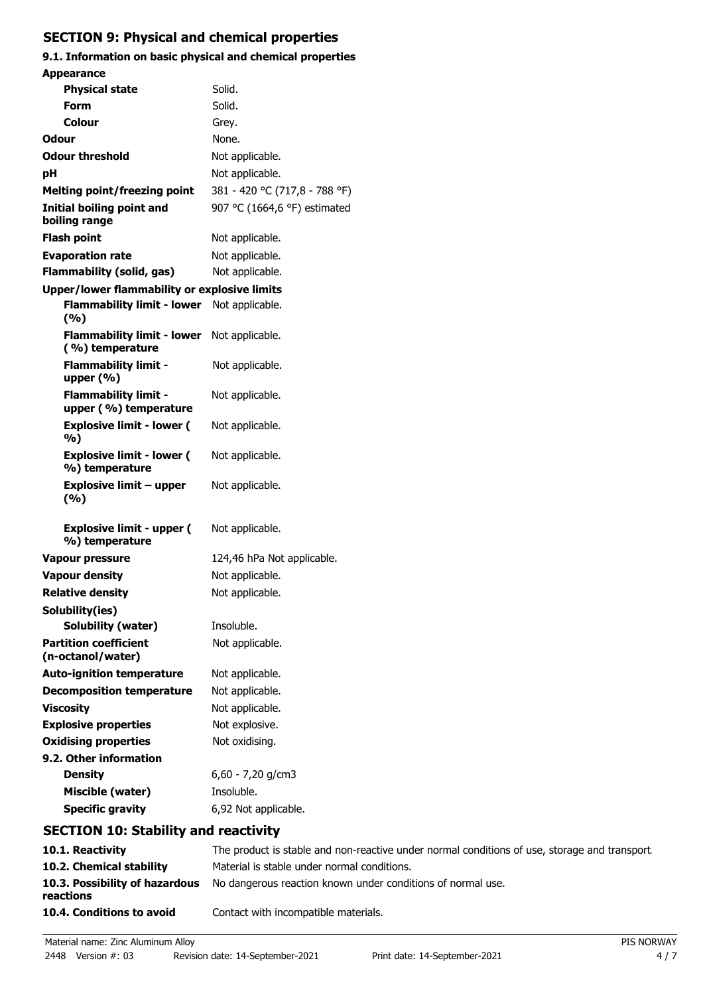# **SECTION 9: Physical and chemical properties**

# **9.1. Information on basic physical and chemical properties Appearance**

| Appearance                                           |                               |
|------------------------------------------------------|-------------------------------|
| <b>Physical state</b>                                | Solid.                        |
| Form                                                 | Solid.                        |
| Colour                                               | Grey.                         |
| Odour                                                | None.                         |
| <b>Odour threshold</b>                               | Not applicable.               |
| рH                                                   | Not applicable.               |
| <b>Melting point/freezing point</b>                  | 381 - 420 °C (717,8 - 788 °F) |
| <b>Initial boiling point and</b><br>boiling range    | 907 °C (1664,6 °F) estimated  |
| <b>Flash point</b>                                   | Not applicable.               |
| <b>Evaporation rate</b>                              | Not applicable.               |
| <b>Flammability (solid, gas)</b>                     | Not applicable.               |
| <b>Upper/lower flammability or explosive limits</b>  |                               |
| <b>Flammability limit - lower</b><br>(%)             | Not applicable.               |
| <b>Flammability limit - lower</b><br>(%) temperature | Not applicable.               |
| <b>Flammability limit -</b><br>upper $(% )$          | Not applicable.               |
| <b>Flammability limit -</b><br>upper (%) temperature | Not applicable.               |
| <b>Explosive limit - lower (</b><br>%)               | Not applicable.               |
| <b>Explosive limit - lower (</b><br>%) temperature   | Not applicable.               |
| <b>Explosive limit - upper</b><br>(%)                | Not applicable.               |
| <b>Explosive limit - upper (</b><br>%) temperature   | Not applicable.               |
| <b>Vapour pressure</b>                               | 124,46 hPa Not applicable.    |
| <b>Vapour density</b>                                | Not applicable.               |
| <b>Relative density</b>                              | Not applicable.               |
| Solubility(ies)                                      |                               |
| <b>Solubility (water)</b>                            | Insoluble.                    |
| <b>Partition coefficient</b><br>(n-octanol/water)    | Not applicable.               |
| <b>Auto-ignition temperature</b>                     | Not applicable.               |
| <b>Decomposition temperature</b>                     | Not applicable.               |
| <b>Viscosity</b>                                     | Not applicable.               |
| <b>Explosive properties</b>                          | Not explosive.                |
| <b>Oxidising properties</b>                          | Not oxidising.                |
| 9.2. Other information                               |                               |
| <b>Density</b>                                       | 6,60 - 7,20 g/cm3             |
| Miscible (water)                                     | Insoluble.                    |
| <b>Specific gravity</b>                              | 6,92 Not applicable.          |
| <b>SECTION 10: Stability and reactivity</b>          |                               |
|                                                      |                               |

| The product is stable and non-reactive under normal conditions of use, storage and transport. |
|-----------------------------------------------------------------------------------------------|
| Material is stable under normal conditions.                                                   |
| No dangerous reaction known under conditions of normal use.                                   |
| Contact with incompatible materials.                                                          |
|                                                                                               |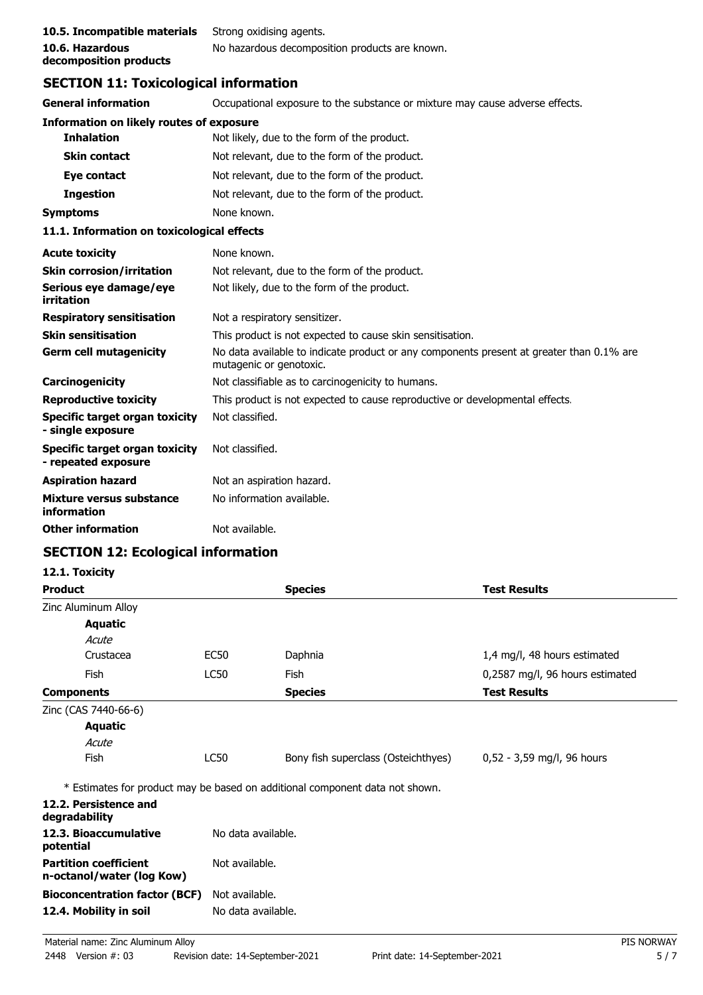| 10.5. Incompatible materials | Strong oxidising agents.                       |
|------------------------------|------------------------------------------------|
| 10.6. Hazardous              | No hazardous decomposition products are known. |
| decomposition products       |                                                |

# **SECTION 11: Toxicological information**

| <b>General information</b>                                   | Occupational exposure to the substance or mixture may cause adverse effects.                                        |  |  |
|--------------------------------------------------------------|---------------------------------------------------------------------------------------------------------------------|--|--|
| <b>Information on likely routes of exposure</b>              |                                                                                                                     |  |  |
| <b>Inhalation</b>                                            | Not likely, due to the form of the product.                                                                         |  |  |
| <b>Skin contact</b>                                          | Not relevant, due to the form of the product.                                                                       |  |  |
| Eye contact                                                  | Not relevant, due to the form of the product.                                                                       |  |  |
| <b>Ingestion</b>                                             | Not relevant, due to the form of the product.                                                                       |  |  |
| <b>Symptoms</b>                                              | None known.                                                                                                         |  |  |
| 11.1. Information on toxicological effects                   |                                                                                                                     |  |  |
| <b>Acute toxicity</b>                                        | None known.                                                                                                         |  |  |
| <b>Skin corrosion/irritation</b>                             | Not relevant, due to the form of the product.                                                                       |  |  |
| Serious eye damage/eye<br>irritation                         | Not likely, due to the form of the product.                                                                         |  |  |
| <b>Respiratory sensitisation</b>                             | Not a respiratory sensitizer.                                                                                       |  |  |
| <b>Skin sensitisation</b>                                    | This product is not expected to cause skin sensitisation.                                                           |  |  |
| <b>Germ cell mutagenicity</b>                                | No data available to indicate product or any components present at greater than 0.1% are<br>mutagenic or genotoxic. |  |  |
| Carcinogenicity                                              | Not classifiable as to carcinogenicity to humans.                                                                   |  |  |
| <b>Reproductive toxicity</b>                                 | This product is not expected to cause reproductive or developmental effects.                                        |  |  |
| <b>Specific target organ toxicity</b><br>- single exposure   | Not classified.                                                                                                     |  |  |
| <b>Specific target organ toxicity</b><br>- repeated exposure | Not classified.                                                                                                     |  |  |
| <b>Aspiration hazard</b>                                     | Not an aspiration hazard.                                                                                           |  |  |
| Mixture versus substance<br>information                      | No information available.                                                                                           |  |  |
| <b>Other information</b>                                     | Not available.                                                                                                      |  |  |

# **SECTION 12: Ecological information**

| <b>Product</b>                                            |                    | <b>Species</b>                                                               | <b>Test Results</b>             |  |
|-----------------------------------------------------------|--------------------|------------------------------------------------------------------------------|---------------------------------|--|
| Zinc Aluminum Alloy                                       |                    |                                                                              |                                 |  |
| <b>Aquatic</b>                                            |                    |                                                                              |                                 |  |
| Acute                                                     |                    |                                                                              |                                 |  |
| Crustacea                                                 | EC50               | Daphnia                                                                      | 1,4 mg/l, 48 hours estimated    |  |
| <b>Fish</b>                                               | <b>LC50</b>        | <b>Fish</b>                                                                  | 0,2587 mg/l, 96 hours estimated |  |
| <b>Components</b>                                         |                    | <b>Species</b>                                                               | <b>Test Results</b>             |  |
| Zinc (CAS 7440-66-6)                                      |                    |                                                                              |                                 |  |
| <b>Aquatic</b>                                            |                    |                                                                              |                                 |  |
| Acute                                                     |                    |                                                                              |                                 |  |
| Fish                                                      | LC50               | Bony fish superclass (Osteichthyes)                                          | $0,52 - 3,59$ mg/l, 96 hours    |  |
|                                                           |                    | * Estimates for product may be based on additional component data not shown. |                                 |  |
| 12.2. Persistence and<br>degradability                    |                    |                                                                              |                                 |  |
| 12.3. Bioaccumulative<br>potential                        |                    | No data available.                                                           |                                 |  |
| <b>Partition coefficient</b><br>n-octanol/water (log Kow) | Not available.     |                                                                              |                                 |  |
| <b>Bioconcentration factor (BCF)</b>                      | Not available.     |                                                                              |                                 |  |
| 12.4. Mobility in soil                                    | No data available. |                                                                              |                                 |  |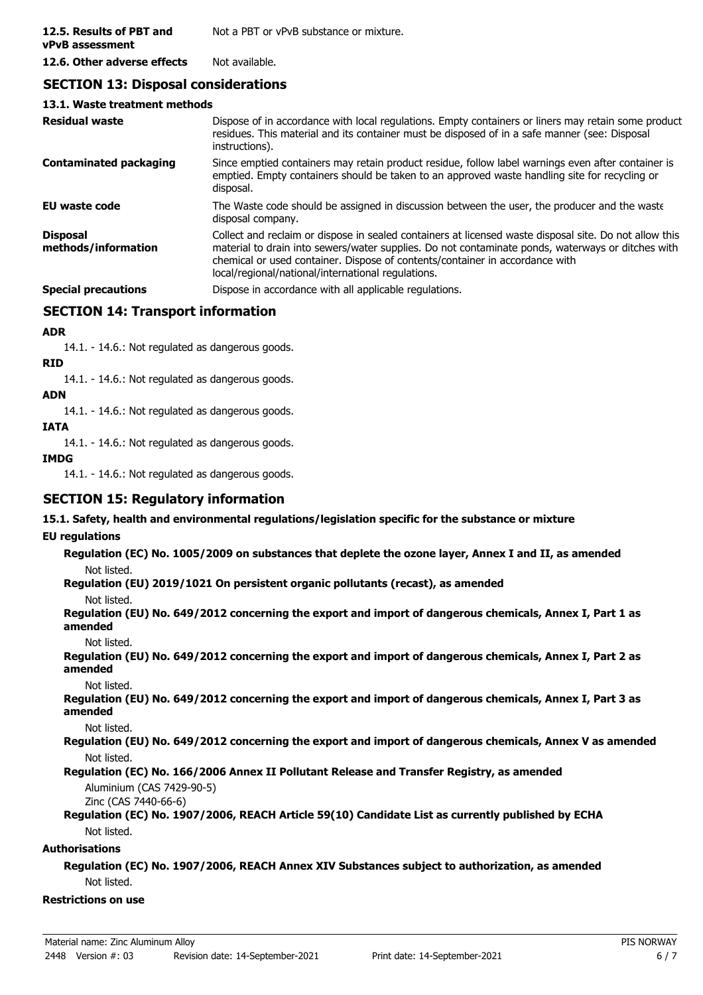# **SECTION 13: Disposal considerations**

## **13.1. Waste treatment methods**

| <b>Residual waste</b>                  | Dispose of in accordance with local regulations. Empty containers or liners may retain some product<br>residues. This material and its container must be disposed of in a safe manner (see: Disposal<br>instructions).                                                                                                                            |
|----------------------------------------|---------------------------------------------------------------------------------------------------------------------------------------------------------------------------------------------------------------------------------------------------------------------------------------------------------------------------------------------------|
| <b>Contaminated packaging</b>          | Since emptied containers may retain product residue, follow label warnings even after container is<br>emptied. Empty containers should be taken to an approved waste handling site for recycling or<br>disposal.                                                                                                                                  |
| <b>EU waste code</b>                   | The Waste code should be assigned in discussion between the user, the producer and the waste<br>disposal company.                                                                                                                                                                                                                                 |
| <b>Disposal</b><br>methods/information | Collect and reclaim or dispose in sealed containers at licensed waste disposal site. Do not allow this<br>material to drain into sewers/water supplies. Do not contaminate ponds, waterways or ditches with<br>chemical or used container. Dispose of contents/container in accordance with<br>local/regional/national/international regulations. |
| <b>Special precautions</b>             | Dispose in accordance with all applicable regulations.                                                                                                                                                                                                                                                                                            |

# **SECTION 14: Transport information**

# **ADR**

14.1. - 14.6.: Not regulated as dangerous goods.

# **RID**

14.1. - 14.6.: Not regulated as dangerous goods.

## **ADN**

14.1. - 14.6.: Not regulated as dangerous goods.

## **IATA**

14.1. - 14.6.: Not regulated as dangerous goods.

## **IMDG**

14.1. - 14.6.: Not regulated as dangerous goods.

# **SECTION 15: Regulatory information**

**15.1. Safety, health and environmental regulations/legislation specific for the substance or mixture**

#### **EU regulations**

**Regulation (EC) No. 1005/2009 on substances that deplete the ozone layer, Annex I and II, as amended** Not listed.

**Regulation (EU) 2019/1021 On persistent organic pollutants (recast), as amended**

## Not listed.

**Regulation (EU) No. 649/2012 concerning the export and import of dangerous chemicals, Annex I, Part 1 as amended**

Not listed.

**Regulation (EU) No. 649/2012 concerning the export and import of dangerous chemicals, Annex I, Part 2 as amended**

#### Not listed.

**Regulation (EU) No. 649/2012 concerning the export and import of dangerous chemicals, Annex I, Part 3 as amended**

Not listed.

**Regulation (EU) No. 649/2012 concerning the export and import of dangerous chemicals, Annex V as amended** Not listed.

# **Regulation (EC) No. 166/2006 Annex II Pollutant Release and Transfer Registry, as amended**

Aluminium (CAS 7429-90-5)

Zinc (CAS 7440-66-6)

## **Regulation (EC) No. 1907/2006, REACH Article 59(10) Candidate List as currently published by ECHA** Not listed.

# **Authorisations**

# **Regulation (EC) No. 1907/2006, REACH Annex XIV Substances subject to authorization, as amended** Not listed.

## **Restrictions on use**